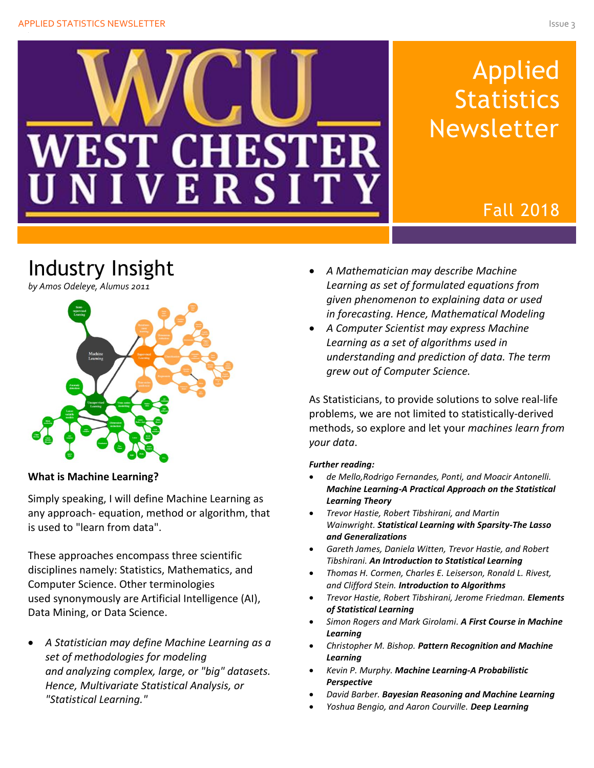

# Applied **Statistics** Newsletter

## Fall 2018

# Industry Insight





#### **What is Machine Learning?**

Simply speaking, I will define Machine Learning as any approach- equation, method or algorithm, that is used to "learn from data".

These approaches encompass three scientific disciplines namely: Statistics, Mathematics, and Computer Science. Other terminologies used synonymously are Artificial Intelligence (AI), Data Mining, or Data Science.

• *A Statistician may define Machine Learning as a set of methodologies for modeling and analyzing complex, large, or "big" datasets. Hence, Multivariate Statistical Analysis, or "Statistical Learning."*

- *A Mathematician may describe Machine Learning as set of formulated equations from given phenomenon to explaining data or used in forecasting. Hence, Mathematical Modeling*
- *A Computer Scientist may express Machine Learning as a set of algorithms used in understanding and prediction of data. The term grew out of Computer Science.*

As Statisticians, to provide solutions to solve real-life problems, we are not limited to statistically-derived methods, so explore and let your *machines learn from your data*.

#### *Further reading:*

- *de Mello,Rodrigo Fernandes, Ponti, and Moacir Antonelli. Machine Learning-A Practical Approach on the Statistical Learning Theory*
- *Trevor Hastie, Robert Tibshirani, and Martin Wainwright. Statistical Learning with Sparsity-The Lasso and Generalizations*
- *Gareth James, Daniela Witten, Trevor Hastie, and Robert Tibshirani. An Introduction to Statistical Learning*
- *Thomas H. Cormen, Charles E. Leiserson, Ronald L. Rivest, and Clifford Stein. Introduction to Algorithms*
- *Trevor Hastie, Robert Tibshirani, Jerome Friedman. Elements of Statistical Learning*
- *Simon Rogers and Mark Girolami. A First Course in Machine Learning*
- *Christopher M. Bishop. Pattern Recognition and Machine Learning*
- *Kevin P. Murphy. Machine Learning-A Probabilistic Perspective*
- *David Barber. Bayesian Reasoning and Machine Learning*
- *Yoshua Bengio, and Aaron Courville. Deep Learning*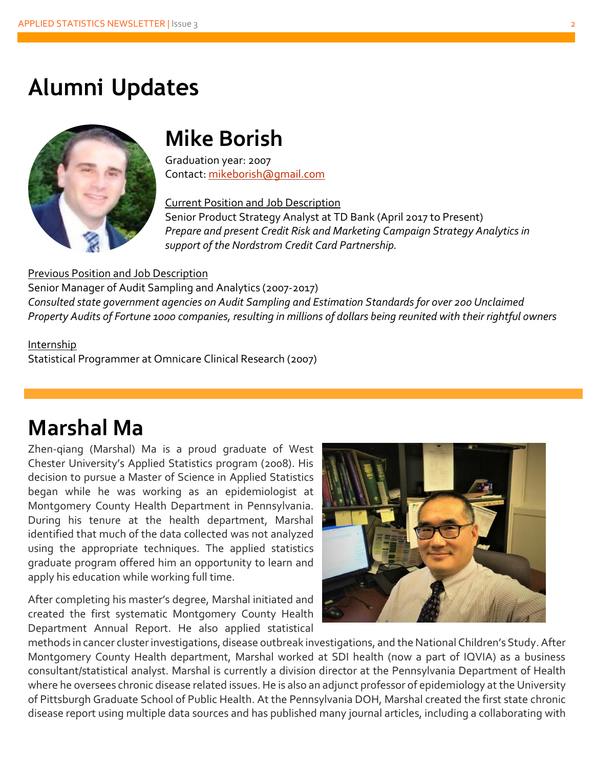## **Alumni Updates**



## **Mike Borish**

Graduation year: 2007 Contact: [mikeborish@gmail.com](mailto:mikeborish@gmail.com)

Current Position and Job Description

Senior Product Strategy Analyst at TD Bank (April 2017 to Present) *Prepare and present Credit Risk and Marketing Campaign Strategy Analytics in support of the Nordstrom Credit Card Partnership.*

#### Previous Position and Job Description

Senior Manager of Audit Sampling and Analytics (2007-2017) *Consulted state government agencies on Audit Sampling and Estimation Standards for over 200 Unclaimed Property Audits of Fortune 1000 companies, resulting in millions of dollars being reunited with their rightful owners*

## Internship

Statistical Programmer at Omnicare Clinical Research (2007)

# **Marshal Ma**

Zhen-qiang (Marshal) Ma is a proud graduate of West Chester University's Applied Statistics program (2008). His decision to pursue a Master of Science in Applied Statistics began while he was working as an epidemiologist at Montgomery County Health Department in Pennsylvania. During his tenure at the health department, Marshal identified that much of the data collected was not analyzed using the appropriate techniques. The applied statistics graduate program offered him an opportunity to learn and apply his education while working full time.

After completing his master's degree, Marshal initiated and created the first systematic Montgomery County Health Department Annual Report. He also applied statistical



methods in cancer cluster investigations, disease outbreak investigations, and the National Children's Study. After Montgomery County Health department, Marshal worked at SDI health (now a part of IQVIA) as a business consultant/statistical analyst. Marshal is currently a division director at the Pennsylvania Department of Health where he oversees chronic disease related issues. He is also an adjunct professor of epidemiology at the University of Pittsburgh Graduate School of Public Health. At the Pennsylvania DOH, Marshal created the first state chronic disease report using multiple data sources and has published many journal articles, including a collaborating with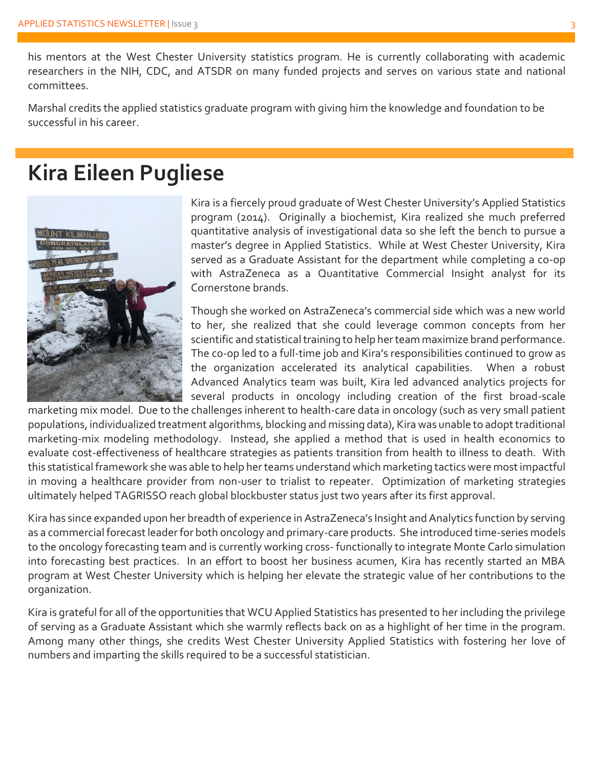his mentors at the West Chester University statistics program. He is currently collaborating with academic researchers in the NIH, CDC, and ATSDR on many funded projects and serves on various state and national committees.

Marshal credits the applied statistics graduate program with giving him the knowledge and foundation to be successful in his career.

## **Kira Eileen Pugliese**



Kira is a fiercely proud graduate of West Chester University's Applied Statistics program (2014). Originally a biochemist, Kira realized she much preferred quantitative analysis of investigational data so she left the bench to pursue a master's degree in Applied Statistics. While at West Chester University, Kira served as a Graduate Assistant for the department while completing a co-op with AstraZeneca as a Quantitative Commercial Insight analyst for its Cornerstone brands.

Though she worked on AstraZeneca's commercial side which was a new world to her, she realized that she could leverage common concepts from her scientific and statistical training to help her team maximize brand performance. The co-op led to a full-time job and Kira's responsibilities continued to grow as the organization accelerated its analytical capabilities. When a robust Advanced Analytics team was built, Kira led advanced analytics projects for several products in oncology including creation of the first broad-scale

marketing mix model. Due to the challenges inherent to health-care data in oncology (such as very small patient populations, individualized treatment algorithms, blocking and missing data), Kira was unable to adopt traditional marketing-mix modeling methodology. Instead, she applied a method that is used in health economics to evaluate cost-effectiveness of healthcare strategies as patients transition from health to illness to death. With this statistical framework she was able to help her teams understand which marketing tactics were most impactful in moving a healthcare provider from non-user to trialist to repeater. Optimization of marketing strategies ultimately helped TAGRISSO reach global blockbuster status just two years after its first approval.

Kira has since expanded upon her breadth of experience in AstraZeneca's Insight and Analytics function by serving as a commercial forecast leader for both oncology and primary-care products. She introduced time-series models to the oncology forecasting team and is currently working cross- functionally to integrate Monte Carlo simulation into forecasting best practices. In an effort to boost her business acumen, Kira has recently started an MBA program at West Chester University which is helping her elevate the strategic value of her contributions to the organization.

Kira is grateful for all of the opportunities that WCU Applied Statistics has presented to her including the privilege of serving as a Graduate Assistant which she warmly reflects back on as a highlight of her time in the program. Among many other things, she credits West Chester University Applied Statistics with fostering her love of numbers and imparting the skills required to be a successful statistician.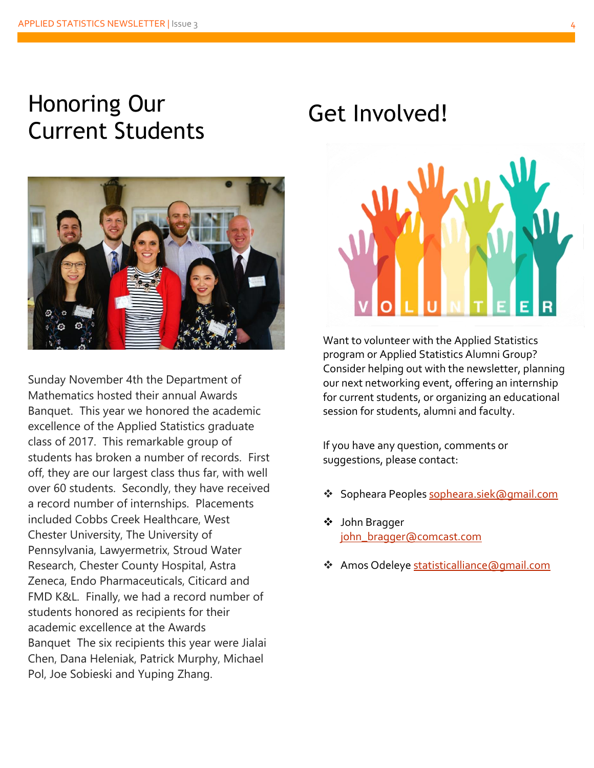# Honoring Our nonoring Our Get Involved!<br>Current Students



Sunday November 4th the Department of Mathematics hosted their annual Awards Banquet. This year we honored the academic excellence of the Applied Statistics graduate class of 2017. This remarkable group of students has broken a number of records. First off, they are our largest class thus far, with well over 60 students. Secondly, they have received a record number of internships. Placements included Cobbs Creek Healthcare, West Chester University, The University of Pennsylvania, Lawyermetrix, Stroud Water Research, Chester County Hospital, Astra Zeneca, Endo Pharmaceuticals, Citicard and FMD K&L. Finally, we had a record number of students honored as recipients for their academic excellence at the Awards Banquet The six recipients this year were Jialai Chen, Dana Heleniak, Patrick Murphy, Michael Pol, Joe Sobieski and Yuping Zhang.



Want to volunteer with the Applied Statistics program or Applied Statistics Alumni Group? Consider helping out with the newsletter, planning our next networking event, offering an internship for current students, or organizing an educational session for students, alumni and faculty.

If you have any question, comments or suggestions, please contact:

- ❖ Sopheara Peoples [sopheara.siek@gmail.com](mailto:sopheara.siek@gmail.com)
- ❖ John Bragger [john\\_bragger@comcast.com](mailto:john_bragger@comcast.com)
- ❖ Amos Odeleye [statisticalliance@gmail.com](mailto:statisticalliance@gmail.com)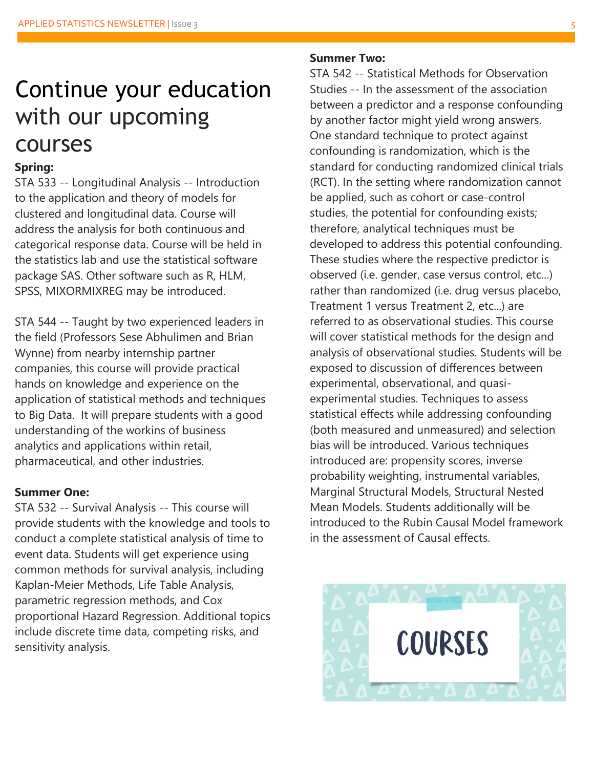# Continue your education with our upcoming courses

## **Spring:**

STA 533 -- Longitudinal Analysis -- Introduction to the application and theory of models for clustered and longitudinal data. Course will address the analysis for both continuous and categorical response data. Course will be held in the statistics lab and use the statistical software package SAS. Other software such as R, HLM, SPSS, MIXORMIXREG may be introduced.

STA 544 -- Taught by two experienced leaders in the field (Professors Sese Abhulimen and Brian Wynne) from nearby internship partner companies, this course will provide practical hands on knowledge and experience on the application of statistical methods and techniques to Big Data. It will prepare students with a good understanding of the workins of business analytics and applications within retail, pharmaceutical, and other industries.

## **Summer One:**

STA 532 -- Survival Analysis -- This course will provide students with the knowledge and tools to conduct a complete statistical analysis of time to event data. Students will get experience using common methods for survival analysis, including Kaplan-Meier Methods, Life Table Analysis, parametric regression methods, and Cox proportional Hazard Regression. Additional topics include discrete time data, competing risks, and sensitivity analysis.

#### **Summer Two:**

STA 542 -- Statistical Methods for Observation Studies -- In the assessment of the association between a predictor and a response confounding by another factor might yield wrong answers. One standard technique to protect against confounding is randomization, which is the standard for conducting randomized clinical trials (RCT). In the setting where randomization cannot be applied, such as cohort or case-control studies, the potential for confounding exists; therefore, analytical techniques must be developed to address this potential confounding. These studies where the respective predictor is observed (i.e. gender, case versus control, etc...) rather than randomized (i.e. drug versus placebo, Treatment 1 versus Treatment 2, etc...) are referred to as observational studies. This course will cover statistical methods for the design and analysis of observational studies. Students will be exposed to discussion of differences between experimental, observational, and quasiexperimental studies. Techniques to assess statistical effects while addressing confounding (both measured and unmeasured) and selection bias will be introduced. Various techniques introduced are: propensity scores, inverse probability weighting, instrumental variables, Marginal Structural Models, Structural Nested Mean Models. Students additionally will be introduced to the Rubin Causal Model framework in the assessment of Causal effects.